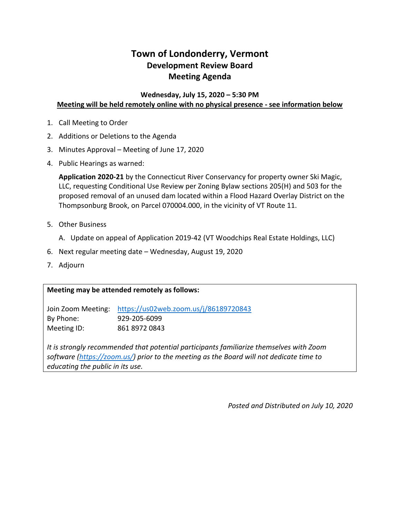# **Town of Londonderry, Vermont Development Review Board Meeting Agenda**

**Wednesday, July 15, 2020 – 5:30 PM Meeting will be held remotely online with no physical presence - see information below**

- 1. Call Meeting to Order
- 2. Additions or Deletions to the Agenda
- 3. Minutes Approval Meeting of June 17, 2020
- 4. Public Hearings as warned:

**Application 2020-21** by the Connecticut River Conservancy for property owner Ski Magic, LLC, requesting Conditional Use Review per Zoning Bylaw sections 205(H) and 503 for the proposed removal of an unused dam located within a Flood Hazard Overlay District on the Thompsonburg Brook, on Parcel 070004.000, in the vicinity of VT Route 11.

- 5. Other Business
	- A. Update on appeal of Application 2019-42 (VT Woodchips Real Estate Holdings, LLC)
- 6. Next regular meeting date Wednesday, August 19, 2020
- 7. Adjourn

### **Meeting may be attended remotely as follows:**

Join Zoom Meeting: <https://us02web.zoom.us/j/86189720843> By Phone: 929-205-6099 Meeting ID: 861 8972 0843

*It is strongly recommended that potential participants familiarize themselves with Zoom software [\(https://zoom.us/\)](https://zoom.us/) prior to the meeting as the Board will not dedicate time to educating the public in its use.* 

*Posted and Distributed on July 10, 2020*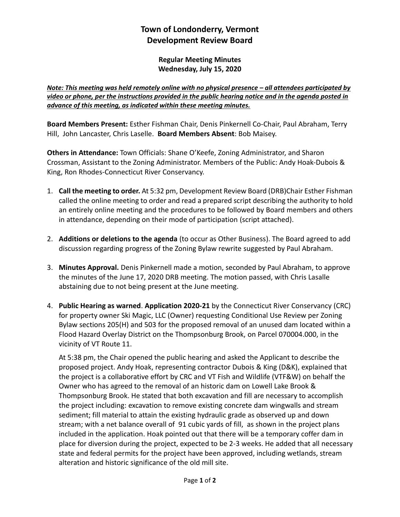### **Town of Londonderry, Vermont Development Review Board**

**Regular Meeting Minutes Wednesday, July 15, 2020** 

*Note: This meeting was held remotely online with no physical presence – all attendees participated by video or phone, per the instructions provided in the public hearing notice and in the agenda posted in advance of this meeting, as indicated within these meeting minutes.*

**Board Members Present:** Esther Fishman Chair, Denis Pinkernell Co-Chair, Paul Abraham, Terry Hill, John Lancaster, Chris Laselle. **Board Members Absent**: Bob Maisey.

**Others in Attendance:** Town Officials: Shane O'Keefe, Zoning Administrator, and Sharon Crossman, Assistant to the Zoning Administrator. Members of the Public: Andy Hoak-Dubois & King, Ron Rhodes-Connecticut River Conservancy.

- 1. **Call the meeting to order.** At 5:32 pm, Development Review Board (DRB)Chair Esther Fishman called the online meeting to order and read a prepared script describing the authority to hold an entirely online meeting and the procedures to be followed by Board members and others in attendance, depending on their mode of participation (script attached).
- 2. **Additions or deletions to the agenda** (to occur as Other Business). The Board agreed to add discussion regarding progress of the Zoning Bylaw rewrite suggested by Paul Abraham.
- 3. **Minutes Approval.** Denis Pinkernell made a motion, seconded by Paul Abraham, to approve the minutes of the June 17, 2020 DRB meeting. The motion passed, with Chris Lasalle abstaining due to not being present at the June meeting.
- 4. **Public Hearing as warned**. **Application 2020-21** by the Connecticut River Conservancy (CRC) for property owner Ski Magic, LLC (Owner) requesting Conditional Use Review per Zoning Bylaw sections 205(H) and 503 for the proposed removal of an unused dam located within a Flood Hazard Overlay District on the Thompsonburg Brook, on Parcel 070004.000, in the vicinity of VT Route 11.

At 5:38 pm, the Chair opened the public hearing and asked the Applicant to describe the proposed project. Andy Hoak, representing contractor Dubois & King (D&K), explained that the project is a collaborative effort by CRC and VT Fish and Wildlife (VTF&W) on behalf the Owner who has agreed to the removal of an historic dam on Lowell Lake Brook & Thompsonburg Brook. He stated that both excavation and fill are necessary to accomplish the project including: excavation to remove existing concrete dam wingwalls and stream sediment; fill material to attain the existing hydraulic grade as observed up and down stream; with a net balance overall of 91 cubic yards of fill, as shown in the project plans included in the application. Hoak pointed out that there will be a temporary coffer dam in place for diversion during the project, expected to be 2-3 weeks. He added that all necessary state and federal permits for the project have been approved, including wetlands, stream alteration and historic significance of the old mill site.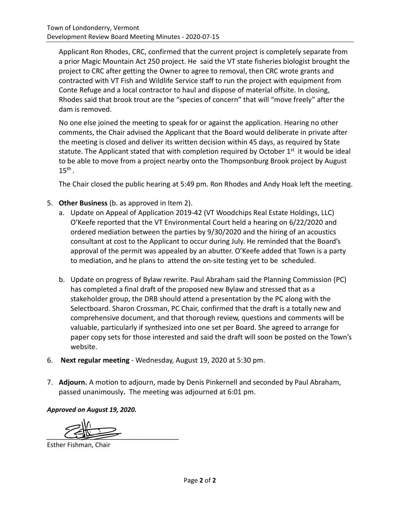Applicant Ron Rhodes, CRC, confirmed that the current project is completely separate from a prior Magic Mountain Act 250 project. He said the VT state fisheries biologist brought the project to CRC after getting the Owner to agree to removal, then CRC wrote grants and contracted with VT Fish and Wildlife Service staff to run the project with equipment from Conte Refuge and a local contractor to haul and dispose of material offsite. In closing, Rhodes said that brook trout are the "species of concern" that will "move freely" after the dam is removed.

No one else joined the meeting to speak for or against the application. Hearing no other comments, the Chair advised the Applicant that the Board would deliberate in private after the meeting is closed and deliver its written decision within 45 days, as required by State statute. The Applicant stated that with completion required by October  $1<sup>st</sup>$  it would be ideal to be able to move from a project nearby onto the Thompsonburg Brook project by August  $15^{\text{th}}$ .

The Chair closed the public hearing at 5:49 pm. Ron Rhodes and Andy Hoak left the meeting.

- 5. **Other Business** (b. as approved in Item 2).
	- a. Update on Appeal of Application 2019-42 (VT Woodchips Real Estate Holdings, LLC) O'Keefe reported that the VT Environmental Court held a hearing on 6/22/2020 and ordered mediation between the parties by 9/30/2020 and the hiring of an acoustics consultant at cost to the Applicant to occur during July. He reminded that the Board's approval of the permit was appealed by an abutter. O'Keefe added that Town is a party to mediation, and he plans to attend the on-site testing yet to be scheduled.
	- b. Update on progress of Bylaw rewrite. Paul Abraham said the Planning Commission (PC) has completed a final draft of the proposed new Bylaw and stressed that as a stakeholder group, the DRB should attend a presentation by the PC along with the Selectboard. Sharon Crossman, PC Chair, confirmed that the draft is a totally new and comprehensive document, and that thorough review, questions and comments will be valuable, particularly if synthesized into one set per Board. She agreed to arrange for paper copy sets for those interested and said the draft will soon be posted on the Town's website.
- 6. **Next regular meeting** Wednesday, August 19, 2020 at 5:30 pm.
- 7. **Adjourn.** A motion to adjourn, made by Denis Pinkernell and seconded by Paul Abraham, passed unanimously**.** The meeting was adjourned at 6:01 pm.

*Approved on August 19, 2020.* 

*\_\_\_\_\_\_\_\_\_\_\_\_\_\_\_\_\_\_\_\_\_\_\_\_\_\_\_\_\_\_\_\_\_\_\_\_\_* 

Esther Fishman, Chair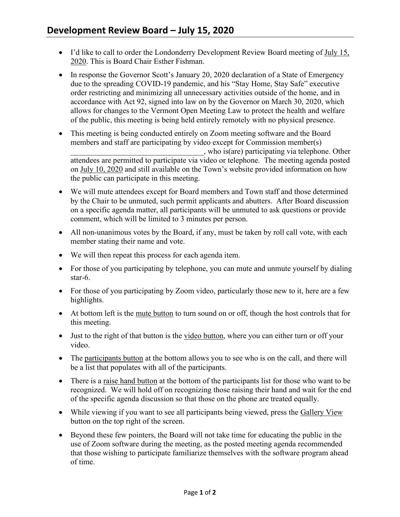- I'd like to call to order the Londonderry Development Review Board meeting of July 15, 2020. This is Board Chair Esther Fishman.
- In response the Governor Scott's January 20, 2020 declaration of a State of Emergency due to the spreading COVID-19 pandemic, and his "Stay Home, Stay Safe" executive order restricting and minimizing all unnecessary activities outside of the home, and in accordance with Act 92, signed into law on by the Governor on March 30, 2020, which allows for changes to the Vermont Open Meeting Law to protect the health and welfare of the public, this meeting is being held entirely remotely with no physical presence.
- This meeting is being conducted entirely on Zoom meeting software and the Board members and staff are participating by video except for Commission member(s) \_\_\_\_\_\_\_\_\_\_\_\_\_\_\_\_\_\_\_\_\_\_\_\_\_\_\_\_\_\_\_\_\_\_, who is(are) participating via telephone. Other attendees are permitted to participate via video or telephone. The meeting agenda posted on July 10, 2020 and still available on the Town's website provided information on how the public can participate in this meeting.
- We will mute attendees except for Board members and Town staff and those determined by the Chair to be unmuted, such permit applicants and abutters. After Board discussion on a specific agenda matter, all participants will be unmuted to ask questions or provide comment, which will be limited to 3 minutes per person.
- All non-unanimous votes by the Board, if any, must be taken by roll call vote, with each member stating their name and vote.
- We will then repeat this process for each agenda item.
- For those of you participating by telephone, you can mute and unmute yourself by dialing star-6.
- For those of you participating by Zoom video, particularly those new to it, here are a few highlights.
- At bottom left is the mute button to turn sound on or off, though the host controls that for this meeting.
- Just to the right of that button is the video button, where you can either turn or off your video.
- The participants button at the bottom allows you to see who is on the call, and there will be a list that populates with all of the participants.
- There is a raise hand button at the bottom of the participants list for those who want to be recognized. We will hold off on recognizing those raising their hand and wait for the end of the specific agenda discussion so that those on the phone are treated equally.
- While viewing if you want to see all participants being viewed, press the Gallery View button on the top right of the screen.
- Beyond these few pointers, the Board will not take time for educating the public in the use of Zoom software during the meeting, as the posted meeting agenda recommended that those wishing to participate familiarize themselves with the software program ahead of time.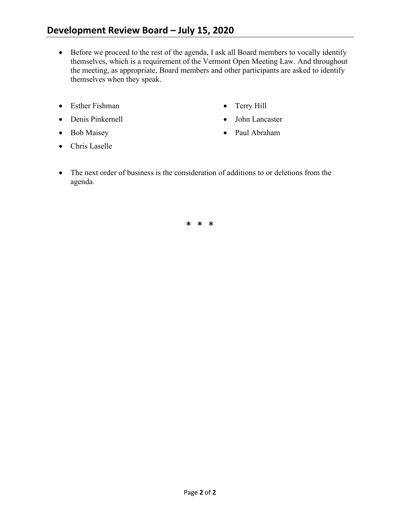- Before we proceed to the rest of the agenda, I ask all Board members to vocally identify themselves, which is a requirement of the Vermont Open Meeting Law. And throughout the meeting, as appropriate, Board members and other participants are asked to identify themselves when they speak.
- Esther Fishman
- Denis Pinkernell
- Bob Maisey
- Terry Hill
- John Lancaster
- Paul Abraham

- Chris Laselle
- The next order of business is the consideration of additions to or deletions from the agenda.

\* \* \*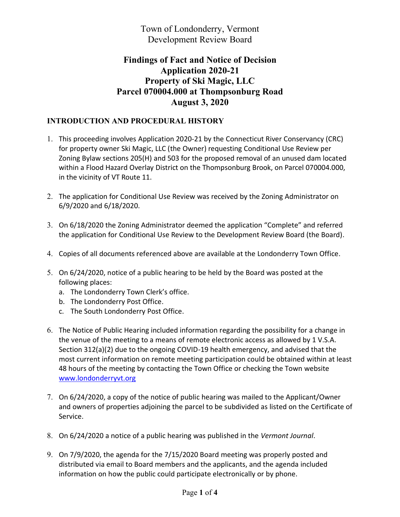Town of Londonderry, Vermont Development Review Board

## **Findings of Fact and Notice of Decision Application 2020-21 Property of Ski Magic, LLC Parcel 070004.000 at Thompsonburg Road August 3, 2020**

### **INTRODUCTION AND PROCEDURAL HISTORY**

- 1. This proceeding involves Application 2020-21 by the Connecticut River Conservancy (CRC) for property owner Ski Magic, LLC (the Owner) requesting Conditional Use Review per Zoning Bylaw sections 205(H) and 503 for the proposed removal of an unused dam located within a Flood Hazard Overlay District on the Thompsonburg Brook, on Parcel 070004.000, in the vicinity of VT Route 11.
- 2. The application for Conditional Use Review was received by the Zoning Administrator on 6/9/2020 and 6/18/2020.
- 3. On 6/18/2020 the Zoning Administrator deemed the application "Complete" and referred the application for Conditional Use Review to the Development Review Board (the Board).
- 4. Copies of all documents referenced above are available at the Londonderry Town Office.
- 5. On 6/24/2020, notice of a public hearing to be held by the Board was posted at the following places:
	- a. The Londonderry Town Clerk's office.
	- b. The Londonderry Post Office.
	- c. The South Londonderry Post Office.
- 6. The Notice of Public Hearing included information regarding the possibility for a change in the venue of the meeting to a means of remote electronic access as allowed by 1 V.S.A. Section 312(a)(2) due to the ongoing COVID-19 health emergency, and advised that the most current information on remote meeting participation could be obtained within at least 48 hours of the meeting by contacting the Town Office or checking the Town website [www.londonderryvt.org](http://www.londonderryvt.org/)
- 7. On 6/24/2020, a copy of the notice of public hearing was mailed to the Applicant/Owner and owners of properties adjoining the parcel to be subdivided as listed on the Certificate of Service.
- 8. On 6/24/2020 a notice of a public hearing was published in the *Vermont Journal*.
- 9. On 7/9/2020, the agenda for the 7/15/2020 Board meeting was properly posted and distributed via email to Board members and the applicants, and the agenda included information on how the public could participate electronically or by phone.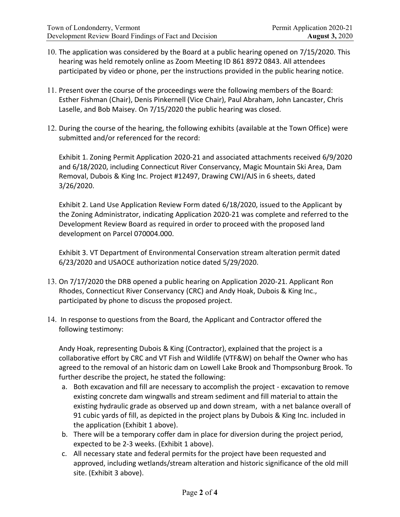- 10. The application was considered by the Board at a public hearing opened on 7/15/2020. This hearing was held remotely online as Zoom Meeting ID 861 8972 0843. All attendees participated by video or phone, per the instructions provided in the public hearing notice.
- 11. Present over the course of the proceedings were the following members of the Board: Esther Fishman (Chair), Denis Pinkernell (Vice Chair), Paul Abraham, John Lancaster, Chris Laselle, and Bob Maisey. On 7/15/2020 the public hearing was closed.
- 12. During the course of the hearing, the following exhibits (available at the Town Office) were submitted and/or referenced for the record:

Exhibit 1. Zoning Permit Application 2020-21 and associated attachments received 6/9/2020 and 6/18/2020, including Connecticut River Conservancy, Magic Mountain Ski Area, Dam Removal, Dubois & King Inc. Project #12497, Drawing CWJ/AJS in 6 sheets, dated 3/26/2020.

Exhibit 2. Land Use Application Review Form dated 6/18/2020, issued to the Applicant by the Zoning Administrator, indicating Application 2020-21 was complete and referred to the Development Review Board as required in order to proceed with the proposed land development on Parcel 070004.000.

Exhibit 3. VT Department of Environmental Conservation stream alteration permit dated 6/23/2020 and USAOCE authorization notice dated 5/29/2020.

- 13. On 7/17/2020 the DRB opened a public hearing on Application 2020-21. Applicant Ron Rhodes, Connecticut River Conservancy (CRC) and Andy Hoak, Dubois & King Inc., participated by phone to discuss the proposed project.
- 14. In response to questions from the Board, the Applicant and Contractor offered the following testimony:

Andy Hoak, representing Dubois & King (Contractor), explained that the project is a collaborative effort by CRC and VT Fish and Wildlife (VTF&W) on behalf the Owner who has agreed to the removal of an historic dam on Lowell Lake Brook and Thompsonburg Brook. To further describe the project, he stated the following:

- a. Both excavation and fill are necessary to accomplish the project excavation to remove existing concrete dam wingwalls and stream sediment and fill material to attain the existing hydraulic grade as observed up and down stream, with a net balance overall of 91 cubic yards of fill, as depicted in the project plans by Dubois & King Inc. included in the application (Exhibit 1 above).
- b. There will be a temporary coffer dam in place for diversion during the project period, expected to be 2-3 weeks. (Exhibit 1 above).
- c. All necessary state and federal permits for the project have been requested and approved, including wetlands/stream alteration and historic significance of the old mill site. (Exhibit 3 above).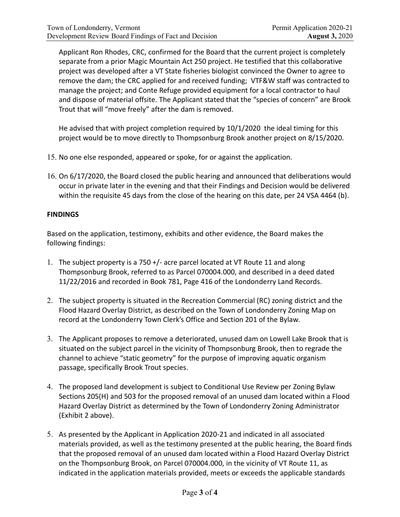Applicant Ron Rhodes, CRC, confirmed for the Board that the current project is completely separate from a prior Magic Mountain Act 250 project. He testified that this collaborative project was developed after a VT State fisheries biologist convinced the Owner to agree to remove the dam; the CRC applied for and received funding; VTF&W staff was contracted to manage the project; and Conte Refuge provided equipment for a local contractor to haul and dispose of material offsite. The Applicant stated that the "species of concern" are Brook Trout that will "move freely" after the dam is removed.

He advised that with project completion required by 10/1/2020 the ideal timing for this project would be to move directly to Thompsonburg Brook another project on 8/15/2020.

- 15. No one else responded, appeared or spoke, for or against the application.
- 16. On 6/17/2020, the Board closed the public hearing and announced that deliberations would occur in private later in the evening and that their Findings and Decision would be delivered within the requisite 45 days from the close of the hearing on this date, per 24 VSA 4464 (b).

### **FINDINGS**

Based on the application, testimony, exhibits and other evidence, the Board makes the following findings:

- 1. The subject property is a  $750 + / -$  acre parcel located at VT Route 11 and along Thompsonburg Brook, referred to as Parcel 070004.000, and described in a deed dated 11/22/2016 and recorded in Book 781, Page 416 of the Londonderry Land Records.
- 2. The subject property is situated in the Recreation Commercial (RC) zoning district and the Flood Hazard Overlay District, as described on the Town of Londonderry Zoning Map on record at the Londonderry Town Clerk's Office and Section 201 of the Bylaw.
- 3. The Applicant proposes to remove a deteriorated, unused dam on Lowell Lake Brook that is situated on the subject parcel in the vicinity of Thompsonburg Brook, then to regrade the channel to achieve "static geometry" for the purpose of improving aquatic organism passage, specifically Brook Trout species.
- 4. The proposed land development is subject to Conditional Use Review per Zoning Bylaw Sections 205(H) and 503 for the proposed removal of an unused dam located within a Flood Hazard Overlay District as determined by the Town of Londonderry Zoning Administrator (Exhibit 2 above).
- 5. As presented by the Applicant in Application 2020-21 and indicated in all associated materials provided, as well as the testimony presented at the public hearing, the Board finds that the proposed removal of an unused dam located within a Flood Hazard Overlay District on the Thompsonburg Brook, on Parcel 070004.000, in the vicinity of VT Route 11, as indicated in the application materials provided, meets or exceeds the applicable standards